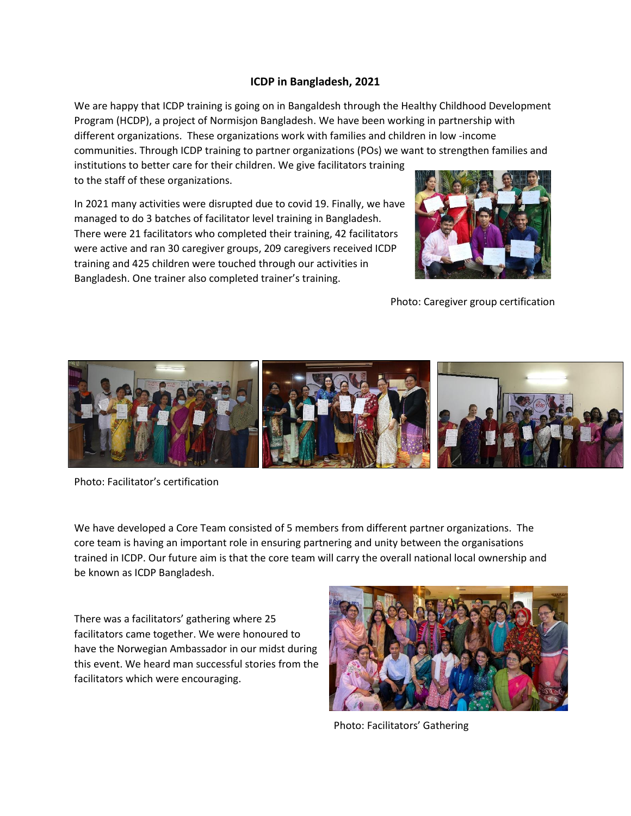## **ICDP in Bangladesh, 2021**

We are happy that ICDP training is going on in Bangaldesh through the Healthy Childhood Development Program (HCDP), a project of Normisjon Bangladesh. We have been working in partnership with different organizations. These organizations work with families and children in low -income communities. Through ICDP training to partner organizations (POs) we want to strengthen families and institutions to better care for their children. We give facilitators training to the staff of these organizations.

In 2021 many activities were disrupted due to covid 19. Finally, we have managed to do 3 batches of facilitator level training in Bangladesh. There were 21 facilitators who completed their training, 42 facilitators were active and ran 30 caregiver groups, 209 caregivers received ICDP training and 425 children were touched through our activities in Bangladesh. One trainer also completed trainer's training.



Photo: Caregiver group certification



Photo: Facilitator's certification

We have developed a Core Team consisted of 5 members from different partner organizations. The core team is having an important role in ensuring partnering and unity between the organisations trained in ICDP. Our future aim is that the core team will carry the overall national local ownership and be known as ICDP Bangladesh.

There was a facilitators' gathering where 25 facilitators came together. We were honoured to have the Norwegian Ambassador in our midst during this event. We heard man successful stories from the facilitators which were encouraging.



Photo: Facilitators' Gathering